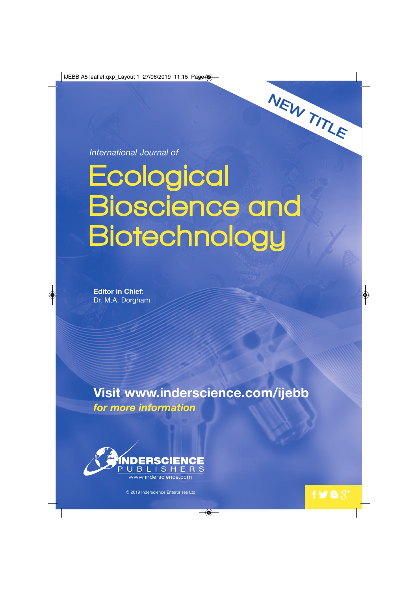**IJEBB A5 leaflet.qxp\_Layout 1 27/06/2019 11:15 Page**  $\circledast$ 

*International Journal of*

# **Ecological** Bioscience and **Biotechnology**

**Editor in Chief**: Dr. M.A. Dorgham

**Visit www.inderscience.com/ijebb** *for more information* 

 $\overline{\bullet}$ 



© 2019 Inderscience Enterprises Ltd

NEW TITLE